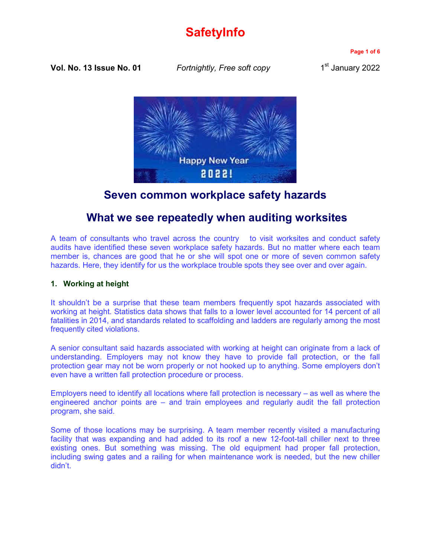# **SafetyInfo**

**Page 1 of 6**

**Vol. No. 13 Issue No. 01** *Fortnightly, Free soft copy* 1

1<sup>st</sup> January 2022



# **Seven common workplace safety hazards**

## **What we see repeatedly when auditing worksites**

A team of consultants who travel across the country to visit worksites and conduct safety audits have identified these seven workplace safety hazards. But no matter where each team member is, chances are good that he or she will spot one or more of seven common safety hazards. Here, they identify for us the workplace trouble spots they see over and over again.

### **1. Working at height**

It shouldn't be a surprise that these team members frequently spot hazards associated with working at height. Statistics data shows that falls to a lower level accounted for 14 percent of all fatalities in 2014, and standards related to scaffolding and ladders are regularly among the most frequently cited violations.

A senior consultant said hazards associated with working at height can originate from a lack of understanding. Employers may not know they have to provide fall protection, or the fall protection gear may not be worn properly or not hooked up to anything. Some employers don't even have a written fall protection procedure or process.

Employers need to identify all locations where fall protection is necessary – as well as where the engineered anchor points are – and train employees and regularly audit the fall protection program, she said.

Some of those locations may be surprising. A team member recently visited a manufacturing facility that was expanding and had added to its roof a new 12-foot-tall chiller next to three existing ones. But something was missing. The old equipment had proper fall protection, including swing gates and a railing for when maintenance work is needed, but the new chiller didn't.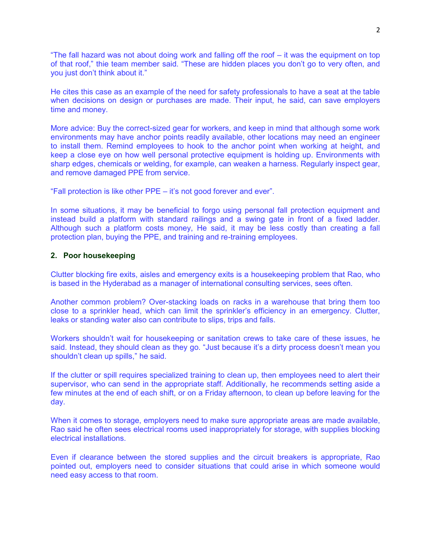"The fall hazard was not about doing work and falling off the roof – it was the equipment on top of that roof," thie team member said. "These are hidden places you don't go to very often, and you just don't think about it."

He cites this case as an example of the need for safety professionals to have a seat at the table when decisions on design or purchases are made. Their input, he said, can save employers time and money.

More advice: Buy the correct-sized gear for workers, and keep in mind that although some work environments may have anchor points readily available, other locations may need an engineer to install them. Remind employees to hook to the anchor point when working at height, and keep a close eye on how well personal protective equipment is holding up. Environments with sharp edges, chemicals or welding, for example, can weaken a harness. Regularly inspect gear, and remove damaged PPE from service.

"Fall protection is like other PPE – it's not good forever and ever".

In some situations, it may be beneficial to forgo using personal fall protection equipment and instead build a platform with standard railings and a swing gate in front of a fixed ladder. Although such a platform costs money, He said, it may be less costly than creating a fall protection plan, buying the PPE, and training and re-training employees.

#### **2. Poor housekeeping**

Clutter blocking fire exits, aisles and emergency exits is a housekeeping problem that Rao, who is based in the Hyderabad as a manager of international consulting services, sees often.

Another common problem? Over-stacking loads on racks in a warehouse that bring them too close to a sprinkler head, which can limit the sprinkler's efficiency in an emergency. Clutter, leaks or standing water also can contribute to slips, trips and falls.

Workers shouldn't wait for housekeeping or sanitation crews to take care of these issues, he said. Instead, they should clean as they go. "Just because it's a dirty process doesn't mean you shouldn't clean up spills," he said.

If the clutter or spill requires specialized training to clean up, then employees need to alert their supervisor, who can send in the appropriate staff. Additionally, he recommends setting aside a few minutes at the end of each shift, or on a Friday afternoon, to clean up before leaving for the day.

When it comes to storage, employers need to make sure appropriate areas are made available, Rao said he often sees electrical rooms used inappropriately for storage, with supplies blocking electrical installations.

Even if clearance between the stored supplies and the circuit breakers is appropriate, Rao pointed out, employers need to consider situations that could arise in which someone would need easy access to that room.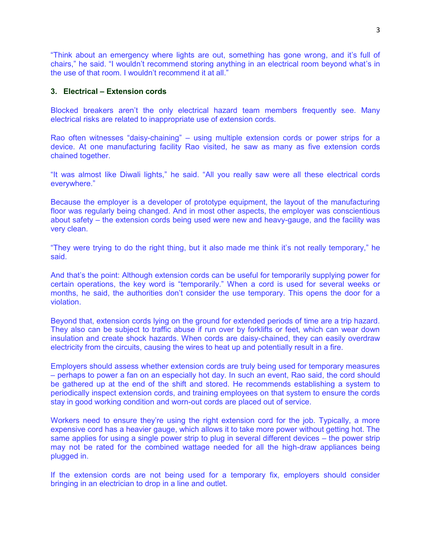"Think about an emergency where lights are out, something has gone wrong, and it's full of chairs," he said. "I wouldn't recommend storing anything in an electrical room beyond what's in the use of that room. I wouldn't recommend it at all."

#### **3. Electrical – Extension cords**

Blocked breakers aren't the only electrical hazard team members frequently see. Many electrical risks are related to inappropriate use of extension cords.

Rao often witnesses "daisy-chaining" – using multiple extension cords or power strips for a device. At one manufacturing facility Rao visited, he saw as many as five extension cords chained together.

"It was almost like Diwali lights," he said. "All you really saw were all these electrical cords everywhere."

Because the employer is a developer of prototype equipment, the layout of the manufacturing floor was regularly being changed. And in most other aspects, the employer was conscientious about safety – the extension cords being used were new and heavy-gauge, and the facility was very clean.

"They were trying to do the right thing, but it also made me think it's not really temporary," he said.

And that's the point: Although extension cords can be useful for temporarily supplying power for certain operations, the key word is "temporarily." When a cord is used for several weeks or months, he said, the authorities don't consider the use temporary. This opens the door for a violation.

Beyond that, extension cords lying on the ground for extended periods of time are a trip hazard. They also can be subject to traffic abuse if run over by forklifts or feet, which can wear down insulation and create shock hazards. When cords are daisy-chained, they can easily overdraw electricity from the circuits, causing the wires to heat up and potentially result in a fire.

Employers should assess whether extension cords are truly being used for temporary measures – perhaps to power a fan on an especially hot day. In such an event, Rao said, the cord should be gathered up at the end of the shift and stored. He recommends establishing a system to periodically inspect extension cords, and training employees on that system to ensure the cords stay in good working condition and worn-out cords are placed out of service.

Workers need to ensure they're using the right extension cord for the job. Typically, a more expensive cord has a heavier gauge, which allows it to take more power without getting hot. The same applies for using a single power strip to plug in several different devices – the power strip may not be rated for the combined wattage needed for all the high-draw appliances being plugged in.

If the extension cords are not being used for a temporary fix, employers should consider bringing in an electrician to drop in a line and outlet.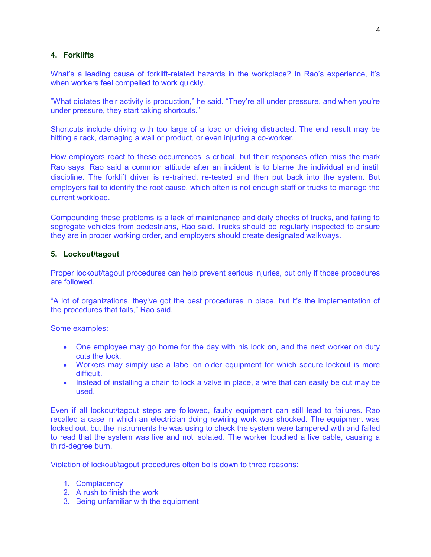### **4. Forklifts**

What's a leading cause of forklift-related hazards in the workplace? In Rao's experience, it's when workers feel compelled to work quickly.

"What dictates their activity is production," he said. "They're all under pressure, and when you're under pressure, they start taking shortcuts."

Shortcuts include driving with too large of a load or driving distracted. The end result may be hitting a rack, damaging a wall or product, or even injuring a co-worker.

How employers react to these occurrences is critical, but their responses often miss the mark Rao says. Rao said a common attitude after an incident is to blame the individual and instill discipline. The forklift driver is re-trained, re-tested and then put back into the system. But employers fail to identify the root cause, which often is not enough staff or trucks to manage the current workload.

Compounding these problems is a lack of maintenance and daily checks of trucks, and failing to segregate vehicles from pedestrians, Rao said. Trucks should be regularly inspected to ensure they are in proper working order, and employers should create designated walkways.

#### **5. Lockout/tagout**

Proper lockout/tagout procedures can help prevent serious injuries, but only if those procedures are followed.

"A lot of organizations, they've got the best procedures in place, but it's the implementation of the procedures that fails," Rao said.

Some examples:

- One employee may go home for the day with his lock on, and the next worker on duty cuts the lock.
- Workers may simply use a label on older equipment for which secure lockout is more difficult.
- Instead of installing a chain to lock a valve in place, a wire that can easily be cut may be used.

Even if all lockout/tagout steps are followed, faulty equipment can still lead to failures. Rao recalled a case in which an electrician doing rewiring work was shocked. The equipment was locked out, but the instruments he was using to check the system were tampered with and failed to read that the system was live and not isolated. The worker touched a live cable, causing a third-degree burn.

Violation of lockout/tagout procedures often boils down to three reasons:

- 1. Complacency
- 2. A rush to finish the work
- 3. Being unfamiliar with the equipment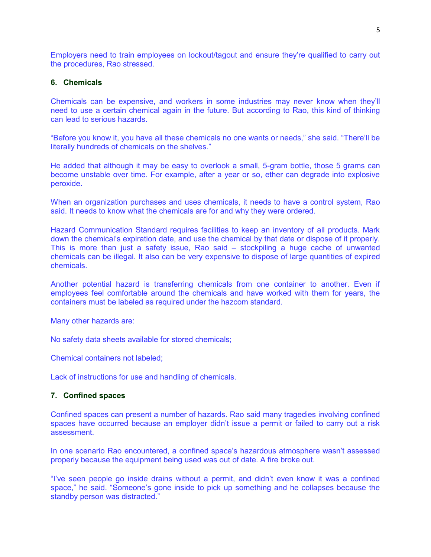Employers need to train employees on lockout/tagout and ensure they're qualified to carry out the procedures, Rao stressed.

#### **6. Chemicals**

Chemicals can be expensive, and workers in some industries may never know when they'll need to use a certain chemical again in the future. But according to Rao, this kind of thinking can lead to serious hazards.

"Before you know it, you have all these chemicals no one wants or needs," she said. "There'll be literally hundreds of chemicals on the shelves."

He added that although it may be easy to overlook a small, 5-gram bottle, those 5 grams can become unstable over time. For example, after a year or so, ether can degrade into explosive peroxide.

When an organization purchases and uses chemicals, it needs to have a control system, Rao said. It needs to know what the chemicals are for and why they were ordered.

Hazard Communication Standard requires facilities to keep an inventory of all products. Mark down the chemical's expiration date, and use the chemical by that date or dispose of it properly. This is more than just a safety issue, Rao said – stockpiling a huge cache of unwanted chemicals can be illegal. It also can be very expensive to dispose of large quantities of expired chemicals.

Another potential hazard is transferring chemicals from one container to another. Even if employees feel comfortable around the chemicals and have worked with them for years, the containers must be labeled as required under the hazcom standard.

Many other hazards are:

No safety data sheets available for stored chemicals;

Chemical containers not labeled;

Lack of instructions for use and handling of chemicals.

#### **7. Confined spaces**

Confined spaces can present a number of hazards. Rao said many tragedies involving confined spaces have occurred because an employer didn't issue a permit or failed to carry out a risk assessment.

In one scenario Rao encountered, a confined space's hazardous atmosphere wasn't assessed properly because the equipment being used was out of date. A fire broke out.

"I've seen people go inside drains without a permit, and didn't even know it was a confined space," he said. "Someone's gone inside to pick up something and he collapses because the standby person was distracted."